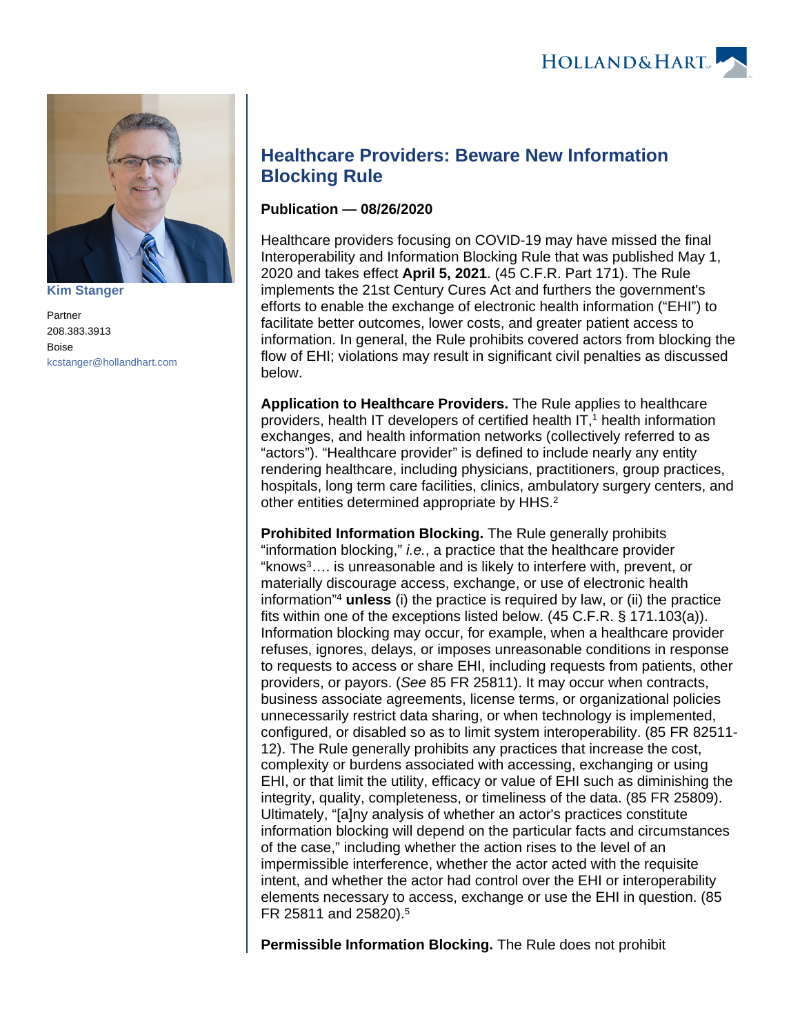

**[Kim Stanger](https://www.hollandhart.com/15954)**

Partner 208.383.3913 Boise [kcstanger@hollandhart.com](mailto:kcstanger@hollandhart.com)

## **Healthcare Providers: Beware New Information Blocking Rule**

## **Publication — 08/26/2020**

Healthcare providers focusing on COVID-19 may have missed the final Interoperability and Information Blocking Rule that was published May 1, 2020 and takes effect **April 5, 2021**. (45 C.F.R. Part 171). The Rule implements the 21st Century Cures Act and furthers the government's efforts to enable the exchange of electronic health information ("EHI") to facilitate better outcomes, lower costs, and greater patient access to information. In general, the Rule prohibits covered actors from blocking the flow of EHI; violations may result in significant civil penalties as discussed below.

**Application to Healthcare Providers.** The Rule applies to healthcare providers, health IT developers of certified health  $IT<sub>1</sub><sup>1</sup>$  health information exchanges, and health information networks (collectively referred to as "actors"). "Healthcare provider" is defined to include nearly any entity rendering healthcare, including physicians, practitioners, group practices, hospitals, long term care facilities, clinics, ambulatory surgery centers, and other entities determined appropriate by HHS.<sup>2</sup>

**Prohibited Information Blocking.** The Rule generally prohibits "information blocking," i.e., a practice that the healthcare provider "knows<sup>3</sup>…. is unreasonable and is likely to interfere with, prevent, or materially discourage access, exchange, or use of electronic health information"<sup>4</sup> **unless** (i) the practice is required by law, or (ii) the practice fits within one of the exceptions listed below. (45 C.F.R. § 171.103(a)). Information blocking may occur, for example, when a healthcare provider refuses, ignores, delays, or imposes unreasonable conditions in response to requests to access or share EHI, including requests from patients, other providers, or payors. (See 85 FR 25811). It may occur when contracts, business associate agreements, license terms, or organizational policies unnecessarily restrict data sharing, or when technology is implemented, configured, or disabled so as to limit system interoperability. (85 FR 82511- 12). The Rule generally prohibits any practices that increase the cost, complexity or burdens associated with accessing, exchanging or using EHI, or that limit the utility, efficacy or value of EHI such as diminishing the integrity, quality, completeness, or timeliness of the data. (85 FR 25809). Ultimately, "[a]ny analysis of whether an actor's practices constitute information blocking will depend on the particular facts and circumstances of the case," including whether the action rises to the level of an impermissible interference, whether the actor acted with the requisite intent, and whether the actor had control over the EHI or interoperability elements necessary to access, exchange or use the EHI in question. (85 FR 25811 and 25820).<sup>5</sup>

**Permissible Information Blocking.** The Rule does not prohibit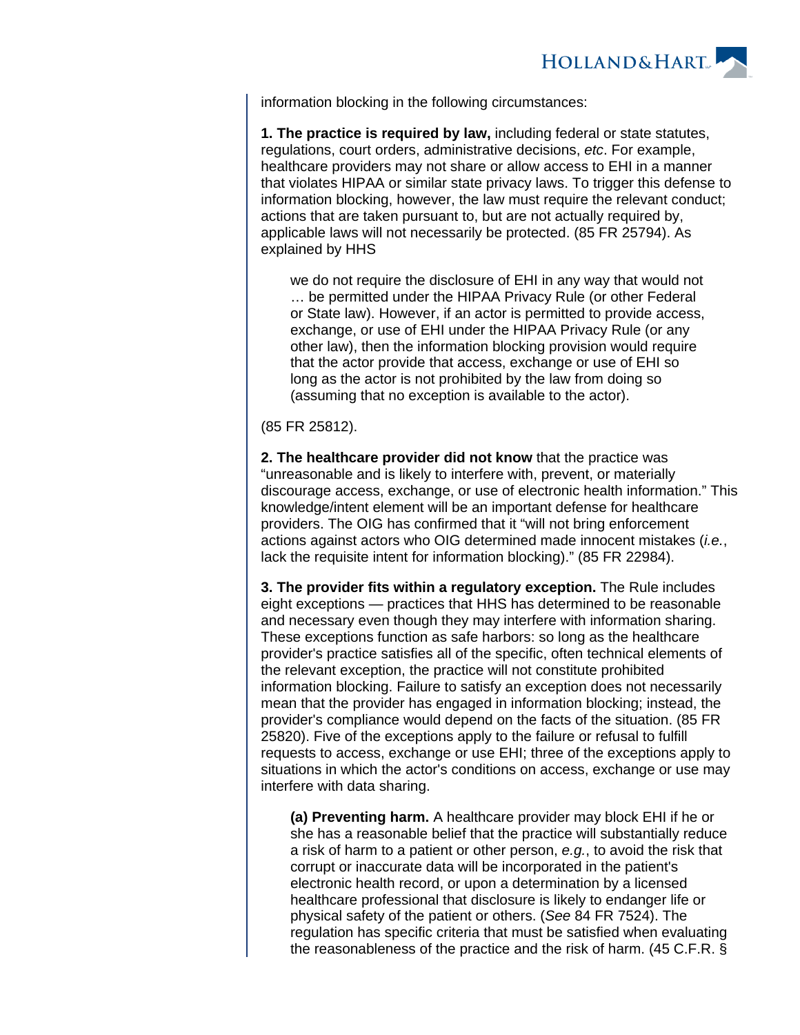

information blocking in the following circumstances:

**1. The practice is required by law,** including federal or state statutes, regulations, court orders, administrative decisions, etc. For example, healthcare providers may not share or allow access to EHI in a manner that violates HIPAA or similar state privacy laws. To trigger this defense to information blocking, however, the law must require the relevant conduct; actions that are taken pursuant to, but are not actually required by, applicable laws will not necessarily be protected. (85 FR 25794). As explained by HHS

we do not require the disclosure of EHI in any way that would not … be permitted under the HIPAA Privacy Rule (or other Federal or State law). However, if an actor is permitted to provide access, exchange, or use of EHI under the HIPAA Privacy Rule (or any other law), then the information blocking provision would require that the actor provide that access, exchange or use of EHI so long as the actor is not prohibited by the law from doing so (assuming that no exception is available to the actor).

(85 FR 25812).

**2. The healthcare provider did not know** that the practice was "unreasonable and is likely to interfere with, prevent, or materially discourage access, exchange, or use of electronic health information." This knowledge/intent element will be an important defense for healthcare providers. The OIG has confirmed that it "will not bring enforcement actions against actors who OIG determined made innocent mistakes (*i.e.*, lack the requisite intent for information blocking)." (85 FR 22984).

**3. The provider fits within a regulatory exception.** The Rule includes eight exceptions — practices that HHS has determined to be reasonable and necessary even though they may interfere with information sharing. These exceptions function as safe harbors: so long as the healthcare provider's practice satisfies all of the specific, often technical elements of the relevant exception, the practice will not constitute prohibited information blocking. Failure to satisfy an exception does not necessarily mean that the provider has engaged in information blocking; instead, the provider's compliance would depend on the facts of the situation. (85 FR 25820). Five of the exceptions apply to the failure or refusal to fulfill requests to access, exchange or use EHI; three of the exceptions apply to situations in which the actor's conditions on access, exchange or use may interfere with data sharing.

**(a) Preventing harm.** A healthcare provider may block EHI if he or she has a reasonable belief that the practice will substantially reduce a risk of harm to a patient or other person, e.g., to avoid the risk that corrupt or inaccurate data will be incorporated in the patient's electronic health record, or upon a determination by a licensed healthcare professional that disclosure is likely to endanger life or physical safety of the patient or others. (See 84 FR 7524). The regulation has specific criteria that must be satisfied when evaluating the reasonableness of the practice and the risk of harm. (45 C.F.R. §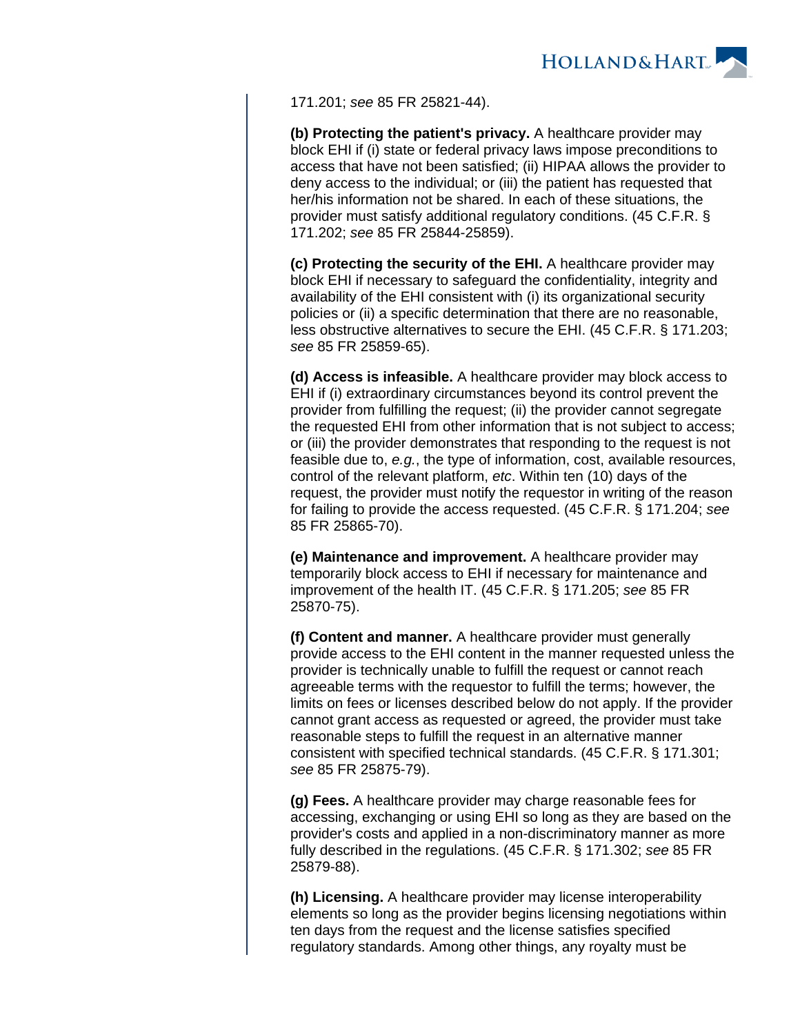

171.201; see 85 FR 25821-44).

**(b) Protecting the patient's privacy.** A healthcare provider may block EHI if (i) state or federal privacy laws impose preconditions to access that have not been satisfied; (ii) HIPAA allows the provider to deny access to the individual; or (iii) the patient has requested that her/his information not be shared. In each of these situations, the provider must satisfy additional regulatory conditions. (45 C.F.R. § 171.202; see 85 FR 25844-25859).

**(c) Protecting the security of the EHI.** A healthcare provider may block EHI if necessary to safeguard the confidentiality, integrity and availability of the EHI consistent with (i) its organizational security policies or (ii) a specific determination that there are no reasonable, less obstructive alternatives to secure the EHI. (45 C.F.R. § 171.203; see 85 FR 25859-65).

**(d) Access is infeasible.** A healthcare provider may block access to EHI if (i) extraordinary circumstances beyond its control prevent the provider from fulfilling the request; (ii) the provider cannot segregate the requested EHI from other information that is not subject to access; or (iii) the provider demonstrates that responding to the request is not feasible due to, e.g., the type of information, cost, available resources, control of the relevant platform, etc. Within ten (10) days of the request, the provider must notify the requestor in writing of the reason for failing to provide the access requested. (45 C.F.R. § 171.204; see 85 FR 25865-70).

**(e) Maintenance and improvement.** A healthcare provider may temporarily block access to EHI if necessary for maintenance and improvement of the health IT. (45 C.F.R. § 171.205; see 85 FR 25870-75).

**(f) Content and manner.** A healthcare provider must generally provide access to the EHI content in the manner requested unless the provider is technically unable to fulfill the request or cannot reach agreeable terms with the requestor to fulfill the terms; however, the limits on fees or licenses described below do not apply. If the provider cannot grant access as requested or agreed, the provider must take reasonable steps to fulfill the request in an alternative manner consistent with specified technical standards. (45 C.F.R. § 171.301; see 85 FR 25875-79).

**(g) Fees.** A healthcare provider may charge reasonable fees for accessing, exchanging or using EHI so long as they are based on the provider's costs and applied in a non-discriminatory manner as more fully described in the regulations. (45 C.F.R. § 171.302; see 85 FR 25879-88).

**(h) Licensing.** A healthcare provider may license interoperability elements so long as the provider begins licensing negotiations within ten days from the request and the license satisfies specified regulatory standards. Among other things, any royalty must be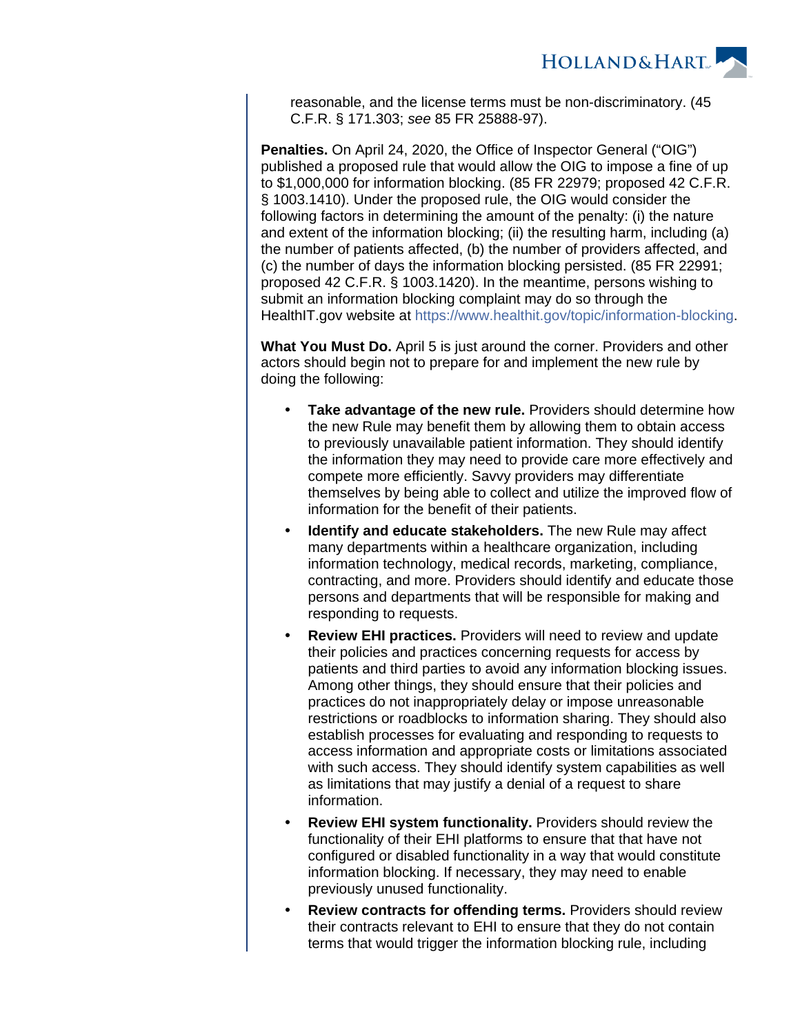

reasonable, and the license terms must be non-discriminatory. (45 C.F.R. § 171.303; see 85 FR 25888-97).

**Penalties.** On April 24, 2020, the Office of Inspector General ("OIG") published a proposed rule that would allow the OIG to impose a fine of up to \$1,000,000 for information blocking. (85 FR 22979; proposed 42 C.F.R. § 1003.1410). Under the proposed rule, the OIG would consider the following factors in determining the amount of the penalty: (i) the nature and extent of the information blocking; (ii) the resulting harm, including (a) the number of patients affected, (b) the number of providers affected, and (c) the number of days the information blocking persisted. (85 FR 22991; proposed 42 C.F.R. § 1003.1420). In the meantime, persons wishing to submit an information blocking complaint may do so through the HealthIT.gov website at [https://www.healthit.gov/topic/information-blocking.](https://www.healthit.gov/topic/information-blocking)

**What You Must Do.** April 5 is just around the corner. Providers and other actors should begin not to prepare for and implement the new rule by doing the following:

- **Take advantage of the new rule.** Providers should determine how the new Rule may benefit them by allowing them to obtain access to previously unavailable patient information. They should identify the information they may need to provide care more effectively and compete more efficiently. Savvy providers may differentiate themselves by being able to collect and utilize the improved flow of information for the benefit of their patients.
- **Identify and educate stakeholders.** The new Rule may affect many departments within a healthcare organization, including information technology, medical records, marketing, compliance, contracting, and more. Providers should identify and educate those persons and departments that will be responsible for making and responding to requests.
- **Review EHI practices.** Providers will need to review and update their policies and practices concerning requests for access by patients and third parties to avoid any information blocking issues. Among other things, they should ensure that their policies and practices do not inappropriately delay or impose unreasonable restrictions or roadblocks to information sharing. They should also establish processes for evaluating and responding to requests to access information and appropriate costs or limitations associated with such access. They should identify system capabilities as well as limitations that may justify a denial of a request to share information.
- **Review EHI system functionality.** Providers should review the functionality of their EHI platforms to ensure that that have not configured or disabled functionality in a way that would constitute information blocking. If necessary, they may need to enable previously unused functionality.
- **Review contracts for offending terms.** Providers should review their contracts relevant to EHI to ensure that they do not contain terms that would trigger the information blocking rule, including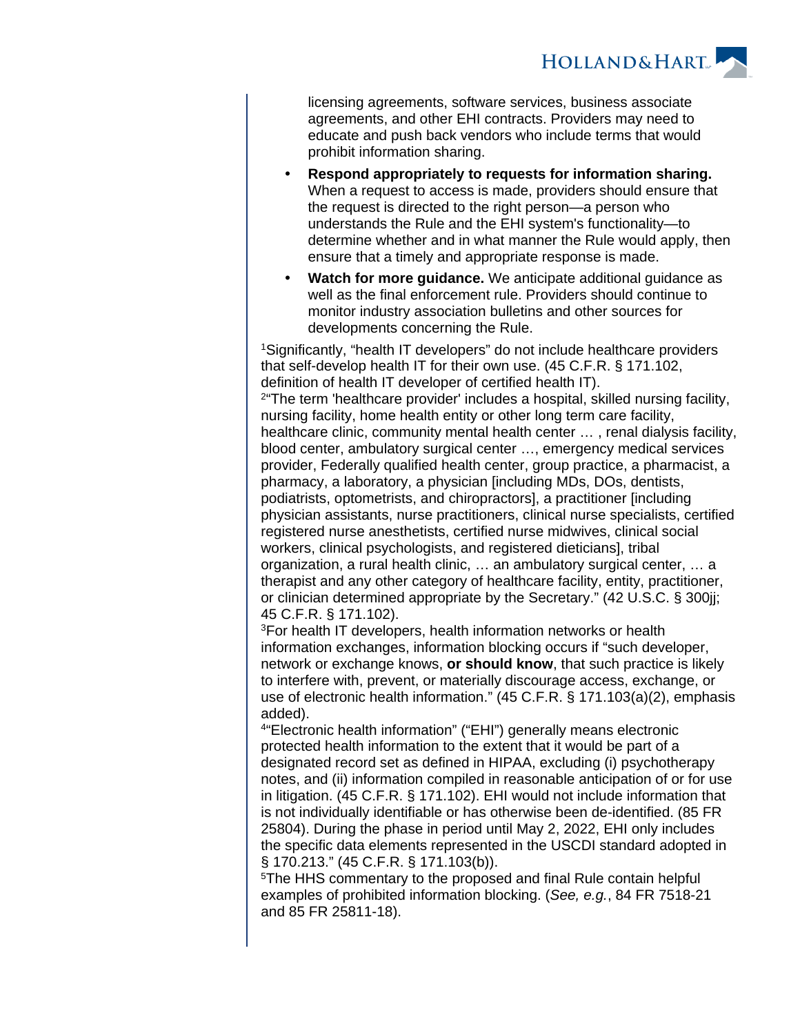**HOLLAND&HART** 

licensing agreements, software services, business associate agreements, and other EHI contracts. Providers may need to educate and push back vendors who include terms that would prohibit information sharing.

- **Respond appropriately to requests for information sharing.** When a request to access is made, providers should ensure that the request is directed to the right person—a person who understands the Rule and the EHI system's functionality—to determine whether and in what manner the Rule would apply, then ensure that a timely and appropriate response is made.
- **Watch for more guidance.** We anticipate additional guidance as well as the final enforcement rule. Providers should continue to monitor industry association bulletins and other sources for developments concerning the Rule.

<sup>1</sup>Significantly, "health IT developers" do not include healthcare providers that self-develop health IT for their own use. (45 C.F.R. § 171.102, definition of health IT developer of certified health IT). <sup>2</sup> The term 'healthcare provider' includes a hospital, skilled nursing facility, nursing facility, home health entity or other long term care facility, healthcare clinic, community mental health center … , renal dialysis facility, blood center, ambulatory surgical center …, emergency medical services provider, Federally qualified health center, group practice, a pharmacist, a pharmacy, a laboratory, a physician [including MDs, DOs, dentists, podiatrists, optometrists, and chiropractors], a practitioner [including physician assistants, nurse practitioners, clinical nurse specialists, certified registered nurse anesthetists, certified nurse midwives, clinical social workers, clinical psychologists, and registered dieticians], tribal organization, a rural health clinic, … an ambulatory surgical center, … a therapist and any other category of healthcare facility, entity, practitioner, or clinician determined appropriate by the Secretary." (42 U.S.C. § 300jj; 45 C.F.R. § 171.102).

<sup>3</sup>For health IT developers, health information networks or health information exchanges, information blocking occurs if "such developer, network or exchange knows, **or should know**, that such practice is likely to interfere with, prevent, or materially discourage access, exchange, or use of electronic health information." (45 C.F.R. § 171.103(a)(2), emphasis added).

4 "Electronic health information" ("EHI") generally means electronic protected health information to the extent that it would be part of a designated record set as defined in HIPAA, excluding (i) psychotherapy notes, and (ii) information compiled in reasonable anticipation of or for use in litigation. (45 C.F.R. § 171.102). EHI would not include information that is not individually identifiable or has otherwise been de-identified. (85 FR 25804). During the phase in period until May 2, 2022, EHI only includes the specific data elements represented in the USCDI standard adopted in § 170.213." (45 C.F.R. § 171.103(b)).

<sup>5</sup>The HHS commentary to the proposed and final Rule contain helpful examples of prohibited information blocking. (See, e.g., 84 FR 7518-21 and 85 FR 25811-18).